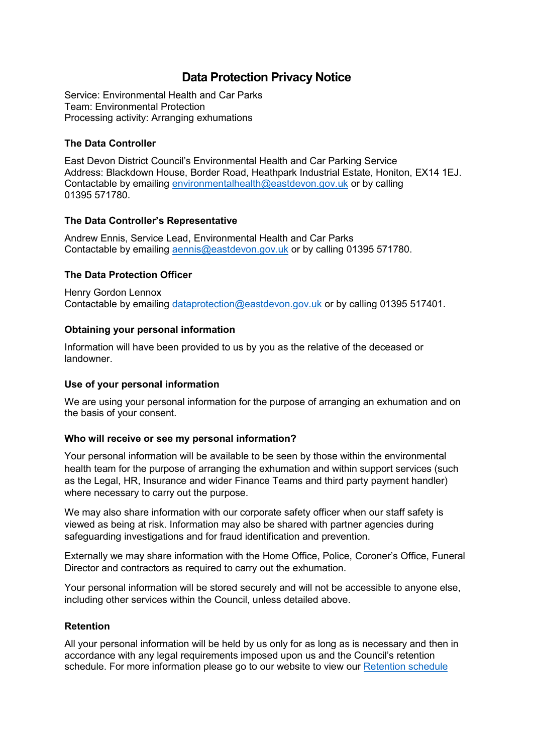# **Data Protection Privacy Notice**

Service: Environmental Health and Car Parks Team: Environmental Protection Processing activity: Arranging exhumations

## **The Data Controller**

East Devon District Council's Environmental Health and Car Parking Service Address: Blackdown House, Border Road, Heathpark Industrial Estate, Honiton, EX14 1EJ. Contactable by emailing [environmentalhealth@eastdevon.gov.uk](mailto:environmentalhealth@eastdevon.gov.uk) or by calling 01395 571780.

#### **The Data Controller's Representative**

Andrew Ennis, Service Lead, Environmental Health and Car Parks Contactable by emailing [aennis@eastdevon.gov.uk](mailto:aennis@eastdevon.gov.uk) or by calling 01395 571780.

# **The Data Protection Officer**

Henry Gordon Lennox Contactable by emailing [dataprotection@eastdevon.gov.uk](mailto:dataprotection@eastdevon.gov.uk) or by calling 01395 517401.

## **Obtaining your personal information**

Information will have been provided to us by you as the relative of the deceased or landowner.

#### **Use of your personal information**

We are using your personal information for the purpose of arranging an exhumation and on the basis of your consent.

#### **Who will receive or see my personal information?**

Your personal information will be available to be seen by those within the environmental health team for the purpose of arranging the exhumation and within support services (such as the Legal, HR, Insurance and wider Finance Teams and third party payment handler) where necessary to carry out the purpose.

We may also share information with our corporate safety officer when our staff safety is viewed as being at risk. Information may also be shared with partner agencies during safeguarding investigations and for fraud identification and prevention.

Externally we may share information with the Home Office, Police, Coroner's Office, Funeral Director and contractors as required to carry out the exhumation.

Your personal information will be stored securely and will not be accessible to anyone else, including other services within the Council, unless detailed above.

#### **Retention**

All your personal information will be held by us only for as long as is necessary and then in accordance with any legal requirements imposed upon us and the Council's retention schedule. For more information please go to our website to view our [Retention schedule](http://eastdevon.gov.uk/access-to-information/data-protection/document-retention-schedules/)